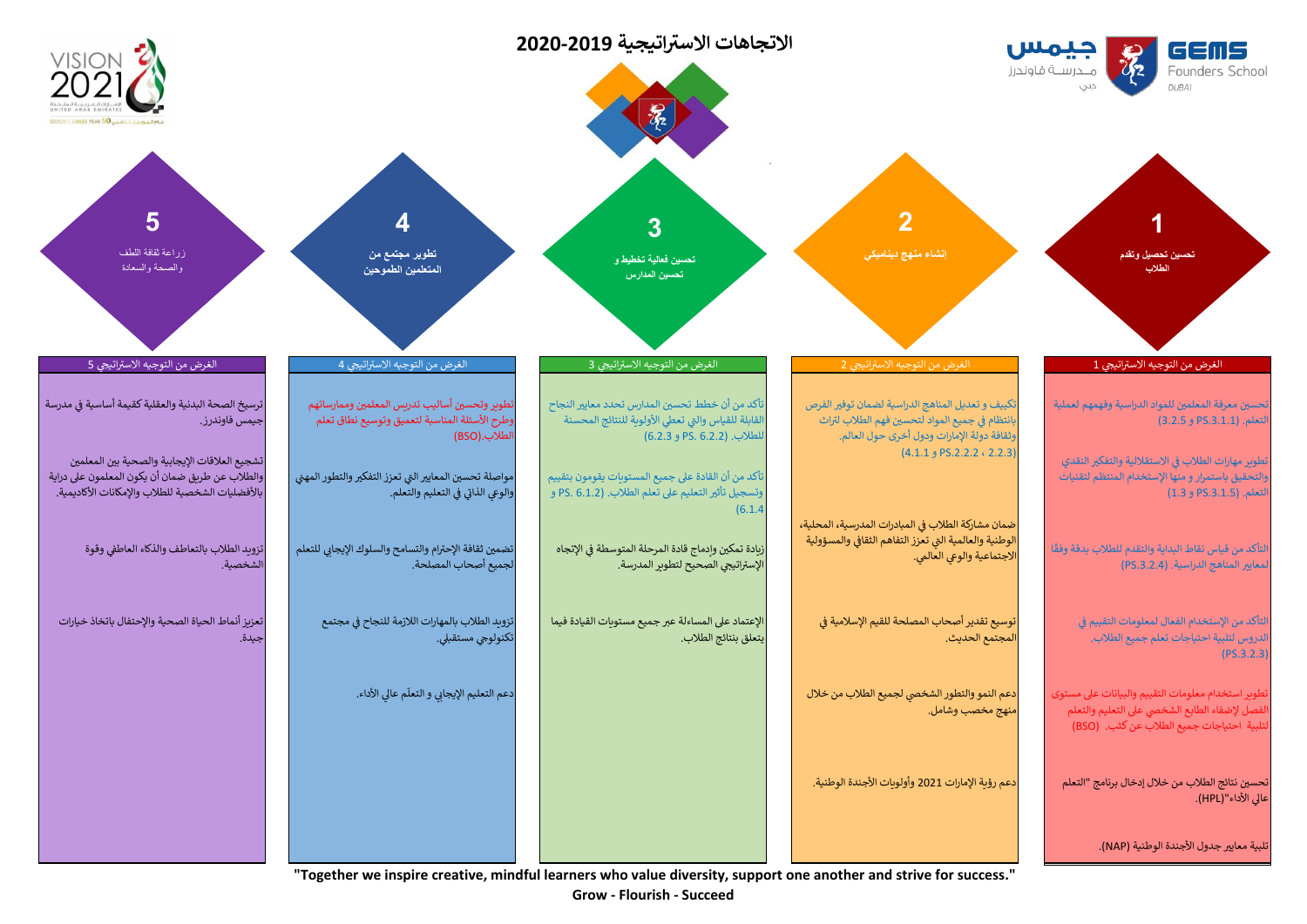ي ֚֚֚֬ .<br>تأكد من الإستخدام الفعال لمعلومات التقييم في الدروس لتلبية احتياجات تعلم جميع الطالب.  $(PS.3.2.3)$ 

ا ً التأكد من قياس نقاط البداية والتقدم للطالب بدقة وفق معايير المناهج الدراسية. (PS.3.2.4)

تحسين معرفة المعلمين للمواد الدراسية وفهمهم لعملية التعلم. ).3.1.1PS و 3.2.5(

تطوير مهارات الطلاب في الاستقلالية والتفكير النقدي ي ֚֚֚֬ والتحقيق باستمرار و منها اإلستخدام المنتظم لتقنيات التعلم. ).3.1.5PS و 1.3(



**"Together we inspire creative, mindful learners who value diversity, support one another and strive for success." Grow - Flourish - Succeed**







تطوير استخدام معلومات التقييم والبيانات عل مستوى الفصل لإضفاء الطابع الشخصي على التعليم والتعلم لتلبية احتياجات جميع الطالب عنكثب. )BSO)

تحسين نتائج الطلاب من خلال إدخال برنامج "الت<mark>ع</mark>لم عالي الأداء"(HPL).<br>-

تلبية معايير جدول الأجندة الوطنية (NAP).



الغرض من التوجيه الاستراتيجي 1